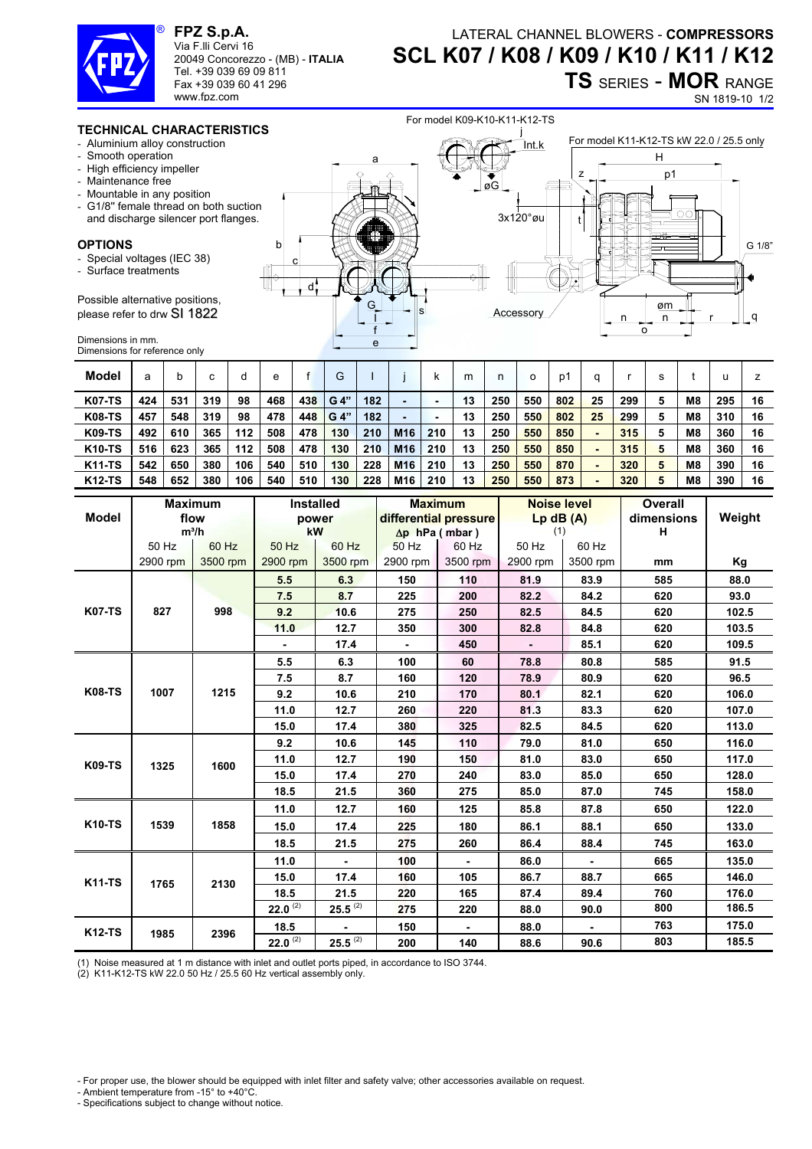

**FPZ S.p.A.**  Via F.lli Cervi 16

www.fpz.com

20049 Concorezzo - (MB) - **ITALIA** Tel. +39 039 69 09 811 Fax +39 039 60 41 296

## LATERAL CHANNEL BLOWERS - **COMPRESSORS SCL K07 / K08 / K09 / K10 / K11 / K12 TS** SERIES - **MOR** RANGE

SN 1819-10 1/2

## **TECHNICAL CHARACTERISTICS**

- Aluminium alloy construction
- Smooth operation
- High efficiency impeller
- Maintenance free
- Mountable in any position
- G1/8'' female thread on both suction and discharge silencer port flanges.

## **OPTIONS**

- Special voltages (IEC 38)
- Surface treatments

Possible alternative positions, please refer to drw SI 1822

 $\frac{G}{T}$   $\frac{G}{T}$   $\frac{G}{T}$ e f I d c b a j Int.k øG For model K11-K12-TS kW 22.0 / 25.5 only 3x120°øu t r o n n øm q z H p1 **Accessory** G 1/8"

For model K09-K10-K11-K12-TS

Dimensions in mm. Dimensions for reference only

| Model         | а   |     | c   |     | e   |     | G    |     |                 |     | m  | n   | o   | p1  |    |     |                |     |    |
|---------------|-----|-----|-----|-----|-----|-----|------|-----|-----------------|-----|----|-----|-----|-----|----|-----|----------------|-----|----|
| <b>K07-TS</b> | 424 | 531 | 319 | 98  | 468 | 438 | G 4" | 182 |                 |     | 13 | 250 | 550 | 802 | 25 | 299 | M <sub>8</sub> | 295 | 16 |
| <b>K08-TS</b> | 457 | 548 | 319 | 98  | 478 | 448 | G 4" | 182 |                 |     | 13 | 250 | 550 | 802 | 25 | 299 | M <sub>8</sub> | 310 | 16 |
| <b>K09-TS</b> | 492 | 610 | 365 | 112 | 508 | 478 | 130  | 210 | M <sub>16</sub> | 210 | 13 | 250 | 550 | 850 | ٠  | 315 | M <sub>8</sub> | 360 | 16 |
| <b>K10-TS</b> | 516 | 623 | 365 | 112 | 508 | 478 | 130  | 210 | M <sub>16</sub> | 210 | 13 | 250 | 550 | 850 | ٠  | 315 | M <sub>8</sub> | 360 | 16 |
| <b>K11-TS</b> | 542 | 650 | 380 | 106 | 540 | 510 | 130  | 228 | M <sub>16</sub> | 210 | 13 | 250 | 550 | 870 | -  | 320 | M <sub>8</sub> | 390 | 16 |
| <b>K12-TS</b> | 548 | 652 | 380 | 106 | 540 | 510 | 130  | 228 | M16             | 210 | 13 | 250 | 550 | 873 |    | 320 | M8             | 390 | 16 |

|               |                | <b>Maximum</b> |              | <b>Installed</b> |          | <b>Maximum</b>        | <b>Noise level</b> |          | <b>Overall</b> |        |  |
|---------------|----------------|----------------|--------------|------------------|----------|-----------------------|--------------------|----------|----------------|--------|--|
| <b>Model</b>  |                | flow           |              | power            |          | differential pressure | $Lp$ dB $(A)$      |          | dimensions     | Weight |  |
|               |                | $m^3/h$        |              | kW               |          | $\Delta p$ hPa (mbar) | (1)                |          | н              |        |  |
|               | 60 Hz<br>50 Hz |                | 50 Hz        | 60 Hz            | 50 Hz    | 60 Hz                 | 50 Hz              | 60 Hz    |                |        |  |
|               | 2900 rpm       | 3500 rpm       | 2900 rpm     | 3500 rpm         | 2900 rpm | 3500 rpm              | 2900 rpm           | 3500 rpm | mm             | Κg     |  |
|               |                |                | 5.5          | 6.3              | 150      | 110                   | 81.9               | 83.9     | 585            | 88.0   |  |
| <b>K07-TS</b> |                | 998            | 7.5          | 8.7              | 225      | 200                   | 82.2               | 84.2     | 620            | 93.0   |  |
|               | 827            |                | 9.2          | 10.6             | 275      | 250                   | 82.5               | 84.5     | 620            | 102.5  |  |
|               |                |                | 11.0         | 12.7             | 350      | 300                   | 82.8               | 84.8     | 620            | 103.5  |  |
|               |                |                |              | 17.4             |          | 450                   |                    | 85.1     | 620            | 109.5  |  |
| <b>K08-TS</b> |                |                | 5.5          | 6.3              | 100      | 60                    | 78.8               | 80.8     | 585            | 91.5   |  |
|               |                | 1215           | 7.5          | 8.7              | 160      | 120                   | 78.9               | 80.9     | 620            | 96.5   |  |
|               | 1007           |                | 9.2          | 10.6             | 210      | 170                   | 80.1               | 82.1     | 620            | 106.0  |  |
|               |                |                | 11.0         | 12.7             | 260      | 220                   | 81.3               | 83.3     | 620            | 107.0  |  |
|               |                |                | 15.0         | 17.4             | 380      | 325                   | 82.5               | 84.5     | 620            | 113.0  |  |
| <b>K09-TS</b> |                | 1600           | 9.2          | 10.6             | 145      | 110                   | 79.0               | 81.0     | 650            | 116.0  |  |
|               | 1325           |                | 11.0         | 12.7             | 190      | 150                   | 81.0               | 83.0     | 650            | 117.0  |  |
|               |                |                | 15.0         | 17.4             | 270      | 240                   | 83.0               | 85.0     | 650            | 128.0  |  |
|               |                |                | 18.5         | 21.5             | 360      | 275                   | 85.0               | 87.0     | 745            | 158.0  |  |
| <b>K10-TS</b> |                |                | 11.0         | 12.7             | 160      | 125                   | 85.8               | 87.8     | 650            | 122.0  |  |
|               | 1539           | 1858           | 15.0         | 17.4             | 225      | 180                   | 86.1               | 88.1     | 650            | 133.0  |  |
|               |                |                | 18.5         | 21.5             | 275      | 260                   | 86.4               | 88.4     | 745            | 163.0  |  |
| <b>K11-TS</b> |                |                | 11.0         |                  | 100      |                       | 86.0               |          | 665            | 135.0  |  |
|               | 1765           | 2130           | 15.0         | 17.4             | 160      | 105                   | 86.7               | 88.7     | 665            | 146.0  |  |
|               |                |                | 18.5         | 21.5             | 220      | 165                   | 87.4               | 89.4     | 760            | 176.0  |  |
|               |                |                | $22.0^{(2)}$ | $25.5^{(2)}$     | 275      | 220                   | 88.0               | 90.0     | 800            | 186.5  |  |
| <b>K12-TS</b> |                |                | 18.5         |                  | 150      |                       | 88.0               |          | 763            | 175.0  |  |
|               | 1985           | 2396           | 22.0 $(2)$   | $25.5^{(2)}$     | 200      | 140                   | 88.6               | 90.6     | 803            | 185.5  |  |

(1) Noise measured at 1 m distance with inlet and outlet ports piped, in accordance to ISO 3744.

(2) K11-K12-TS kW 22.0 50 Hz / 25.5 60 Hz vertical assembly only.

- For proper use, the blower should be equipped with inlet filter and safety valve; other accessories available on request.

- Ambient temperature from -15° to +40°C.
- Specifications subject to change without notice.